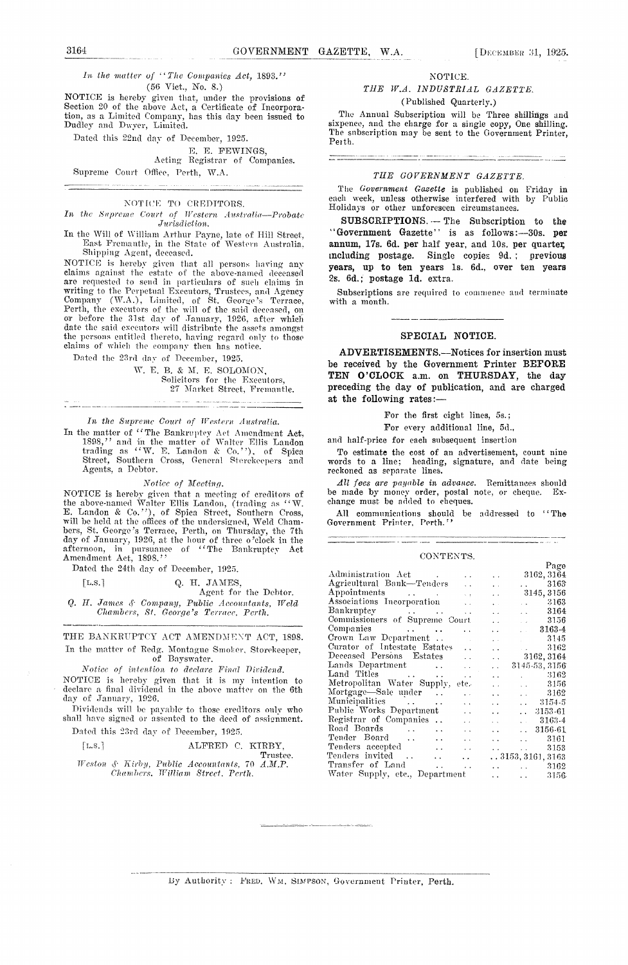$\frac{1}{n}$ *lit the matter of ''The Companies Act,* 1893." (56 Viet., No. S.)

NOTICE is hereby given that, under the provisions of Section *20* of the above Act, a Certificate of Incorporation, as a Limited Company, has this day been issued to<br>Dudley and Dwyer, Limited.

Dated this 22nd day of December, 1925.

#### E. E. FEWINGS,

Acting Registrar of Companies. Supreme Court Office, Perth, W.A.

#### NOTICE TO CREDITORS.

*In the Supreme Court of Western Australia-Probate ,Jurisdiction.*

In the Will of William Arthur Payne, late of Hill Street East Premautle, in the State of Western Australia, Shipping Agent, deceased.

NOTICE is hereby given that all persons having any claims against the estate of the above-named deceased are requested to send in particulars of such claims in writing to th*e* Perpetual Executors, Trustees, and Agency Company (W.A.), Limited, of St. George's Terrace, Perth, the executors of the will of the said deceased, on<br>or before the 31st day of January, 1926, after which<br>date the said executors will distribute the assets amongst the persons entitled thereto, having regard only to those claims of which the company then has notice.

Dated the 23rd day of December, 1925.

W. E. B. & M. E. SOLOMON, Solicitors for the Executors, 27 Market Street, Fremantle.

#### *lit Supreme Court of IVesiern Australia.*

In the matter of "The Bankruptcy Act Amendment Act, 1898," and in the matter of Walter Ellis Landon trading as "W. E. Landon & Co.''), of Spica Street, Southern Cross, General Storekeepers and Agents, a Debtor.

#### *Notice of Meeting.*

NOTICE is hereby given that a meeting of creditors of the above-named Walter Ellis Landau, (trading as "W. E. Landon & Co.''), of Spica Street, Southern Cross, will be held at the offices of the undersigned, Weld Chambers, St. George's Terrace, Perth, on Thursday, the 7th day of January, 1926, at the hour of three o'clock in the<br>afternoon, in pursuance of ''The Bankruptcy Act<br>Amendment Act, 1898.''

Dated the 24th day of December, 1925.

| [L.S.] |  | Q. H. JAMES, |
|--------|--|--------------|
|        |  |              |

Agent for the Debtor. Q. *IT. James ('am pa nit, Public - I- ' en tents, Weld Chambers, St. George's Terrace, Perth.* 

THE BANKRUPTCY ACT AMENDMENT ACT, 1898. In the matter of Redg. Montague Smoker, Storekeeper, of Bayswater.

*Notice of —'ioiia, to declare Final Diridend.* NOTICE is hereby given that it is my intention to declare a final dividend in the above matter on the 6th day of January, 1926.

Ividends will be payable to those creditors only who shall have signed or assented to the deed of assignment.

Dated this 23rd day of December, 1925.

| [L.S.] |  | ALFRED C. KIRBY.                              |  |          |
|--------|--|-----------------------------------------------|--|----------|
|        |  |                                               |  | Trustee. |
|        |  | Weston & Kirby, Public Accountants, 70 A.M.P. |  |          |

*(Thani berg, Will/a in Street Perth.*

#### NOTICE. *THE tV.A. INDUSTRIAL GAZETTE.*

(Published Quarterly.)

The Annual Subscription will be Three shillings and sixpence, and the charge for a single copy, One shilling. The subscription may be sent to the Government Printer, Perth.

#### *THE GOVERNMENT GAZETTE.*

The *Government Gazette is* published on Friday in each week, unless otherwise interfered with by Public Holidays or other unforeseen circumstances.

**SUBSCRIPTIONS. --** The Subscription to the "Government Gazette" *is* as follows:--30S. **per annum,** 17s. 6d. **per** half year, and lOs, per quarter, including postage. Single *copies* 9d. ; previous years, *up to* ten years is. 6d., over ten years *2s.* Gd.; postage Id. extra.

Subscriptions are required to commence and terminate with a month.

#### **SPECIAL NOTICE.**

**ADVERTISEMENTS.—Notices** for insertion must be received by the Government Printer **BEFORE TEN O'CLOCK** a.m. on THURSDAY, the day preceding the day of publication, and are charged at the following rates:

For the first eight lines, 5s.;

For every additional line, 5d.,

and half-price for each subsequent insertion

To estimate the cost of an advertisement, count nine words to a line; heading, signature, and date being reckoned as separate lines.

*All foes are payable in advance.* Remittances should be made by money order, postal note, or cheque. Exchange must be added to cheques.

All communications should be addressed to "The Government Printer, Perth."

#### CONTENTS.

|                                                                              |                                                | Page          |
|------------------------------------------------------------------------------|------------------------------------------------|---------------|
| Administration Act                                                           | $\ddotsc$                                      | 3162, 3164    |
| Agricultural Bank—Tenders<br>$\ddotsc$                                       | a ann an<br>$\ddot{\phantom{a}}$               | 3163          |
| Appointments<br>$\bar{\nu}$ .                                                | $\ddot{\phantom{1}}$                           | 3145, 3156    |
| Associations Incorporation<br>$\mathbf{v}$                                   | $\ddot{\phantom{a}}$<br>$\ddot{\phantom{a}}$   | 3163          |
| Bankruptcy<br>$\ddot{\phantom{a}}$                                           | $\ddot{\phantom{a}}$<br>$\ddot{\phantom{0}}$   | 3164          |
| Commissioners of Supreme Court                                               | $\sim$<br>$\ddot{\phantom{a}}$                 | 3156          |
| Companies<br>$\ddot{\phantom{a}}$                                            | a and<br>$\ddotsc$                             | 3163-4        |
| Crown Law Department<br><b>College</b>                                       | $\mathcal{L}^{\text{max}}$<br>$\mathbf{r}$     | 3145          |
| Curator of Intestate Estates<br>$\mathbf{L}$                                 | <b>Service Control</b><br>$\ddot{\phantom{0}}$ | 3162          |
| Deceased Persons Estates<br>$\ddot{\phantom{a}}$                             | $\ddotsc$                                      | 3162, 3164    |
| Lands Department<br>$\ddot{\phantom{a}}$                                     | $\ddot{\phantom{0}}$                           | 3145-53, 3156 |
| Land Titles<br>$\ddot{\phantom{a}}$                                          | $\mathbf{r}$<br>$\ddot{\phantom{a}}$           | 3162          |
| Metropolitan Water Supply,<br>ete.                                           | $\ddot{\phantom{a}}$<br>$\ddotsc$              | 3156          |
| Mortgage-Sale under<br>$\ddot{\phantom{a}}$                                  | v.<br>$\ddot{\phantom{0}}$                     | 3162          |
| Municipalities<br>$\ddot{\phantom{a}}$                                       | И.<br>$\ddot{\phantom{0}}$                     | - 3154-5      |
| Public Works Department<br>$\ddot{\phantom{a}}$                              | $\sim$<br>$\ddot{\phantom{a}}$                 | 3153-61       |
| Registrar of Companies<br>$\ddotsc$<br>$\sim$                                | $\ddot{\phantom{a}}$<br><b>CALL</b>            | 3163-4        |
| Road Boards<br>$\ddot{\phantom{a}}$<br>$\mathbf{A}$                          | $\mathbf{r}$<br>$\sim$                         | 3156-61       |
| Tender Board<br>$\ddot{\phantom{a}}$<br>$\ddot{\phantom{a}}$                 | $\ddot{\phantom{a}}$<br>$\ddotsc$              | 3161          |
| Tenders accepted<br>$\sim$                                                   | and the state of the                           | 3153          |
| Tenders invited<br>$\sim 10$<br>$\ddot{\phantom{0}}$<br>$\ddot{\phantom{0}}$ | $\ldots 3153, 3161, 3163$                      |               |
| Transfer of Land<br>$\ddotsc$<br>$\ddot{\phantom{0}}$                        | and the con-<br>$\ddot{\phantom{a}}$           | 3162          |
| Water Supply, etc., Department                                               | $\ddot{\phantom{a}}$<br><b>Allen Control</b>   | 3156          |
|                                                                              |                                                |               |